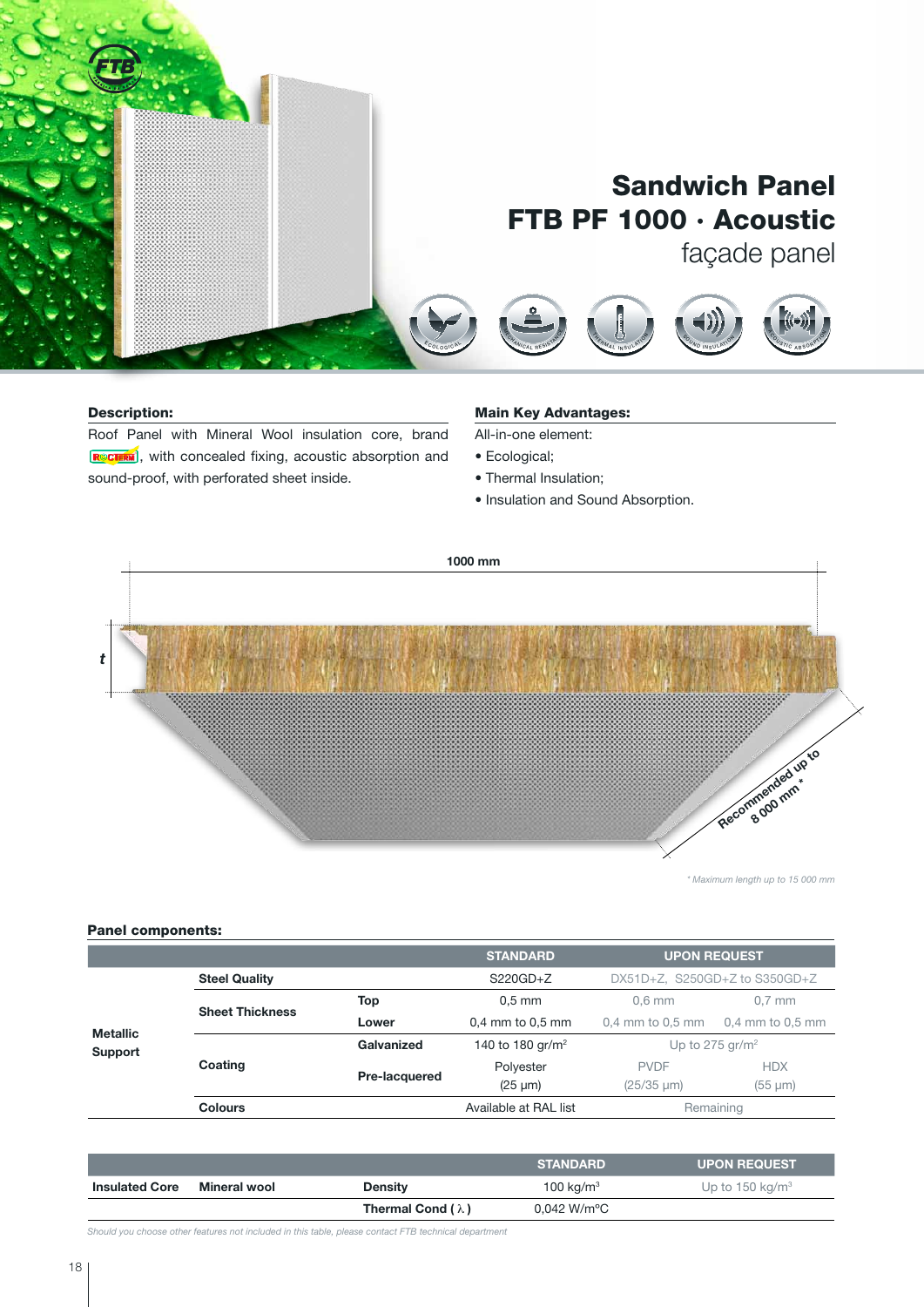

### Description:

Roof Panel with Mineral Wool insulation core, brand  $\sqrt{\mathbf{R}^{\circ}$ CTERM, with concealed fixing, acoustic absorption and sound-proof, with perforated sheet inside. S O U N D I N S ULAT I O N

#### <u>Main Key Advantages:</u>  $\overline{\phantom{a}}$  $\overline{\phantom{a}}$ <sup>E</sup><sup>T</sup> <sup>I</sup> <sup>C</sup>

All-in-one element:

- Ecological;
- Thermal Insulation;
- · Insulation and Sound Absorption.

<sup>E</sup> <sup>T</sup> <sup>I</sup> <sup>C</sup>

<sup>R</sup> <sup>E</sup> <sup>A</sup> <sup>C</sup> <sup>T</sup> <sup>I</sup> <sup>O</sup> <sup>N</sup> <sup>T</sup> <sup>O</sup> <sup>F</sup> <sup>I</sup> <sup>R</sup> <sup>E</sup>

<sup>R</sup> <sup>E</sup> <sup>A</sup> <sup>C</sup> <sup>T</sup> <sup>I</sup> <sup>O</sup> <sup>N</sup> <sup>T</sup> <sup>O</sup> <sup>F</sup> <sup>I</sup> <sup>R</sup> <sup>E</sup>

 $\mathcal{F}$ <sup>R</sup> <sup>E</sup> <sup>S</sup> <sup>I</sup> <sup>S</sup> <sup>T</sup><sup>A</sup> <sup>N</sup> <sup>T</sup>

 $\mathcal{F}$ <sup>R</sup> <sup>E</sup> <sup>S</sup> <sup>I</sup> <sup>S</sup> <sup>T</sup><sup>A</sup> <sup>N</sup> <sup>T</sup>

 $\overline{\phantom{a}}$ <sup>E</sup> <sup>T</sup>I<sup>C</sup>



*\* Maximum length up to 15 000 mm*

## Panel components:

|                            |                        |               | <b>STANDARD</b>              | <b>UPON REQUEST</b>                  |                      |  |
|----------------------------|------------------------|---------------|------------------------------|--------------------------------------|----------------------|--|
| <b>Metallic</b><br>Support | <b>Steel Quality</b>   |               | $S220GD + Z$                 | $DX51D+Z$ , $S250GD+Z$ to $S350GD+Z$ |                      |  |
|                            | <b>Sheet Thickness</b> | Top           | $0.5$ mm                     | $0.6$ mm                             | $0.7$ mm             |  |
|                            |                        | Lower         | 0,4 mm to 0,5 mm             | $0,4$ mm to $0,5$ mm                 | $0.4$ mm to $0.5$ mm |  |
|                            | Coating                | Galvanized    | 140 to 180 gr/m <sup>2</sup> | Up to 275 gr/m <sup>2</sup>          |                      |  |
|                            |                        | Pre-lacquered | Polyester                    | <b>PVDF</b>                          | <b>HDX</b>           |  |
|                            |                        |               | $(25 \mu m)$                 | $(25/35 \mu m)$                      | $(55 \mu m)$         |  |
|                            | <b>Colours</b>         |               | Available at RAL list        | Remaining                            |                      |  |

|                       |              |                          | <b>STANDARD</b>          | <b>UPON REQUEST</b>         |
|-----------------------|--------------|--------------------------|--------------------------|-----------------------------|
| <b>Insulated Core</b> | Mineral wool | <b>Density</b>           | 100 kg/m <sup>3</sup>    | Up to 150 kg/m <sup>3</sup> |
|                       |              | Thermal Cond $(\lambda)$ | $0.042$ W/m $^{\circ}$ C |                             |

*Should you choose other features not included in this table, please contact FTB technical department*